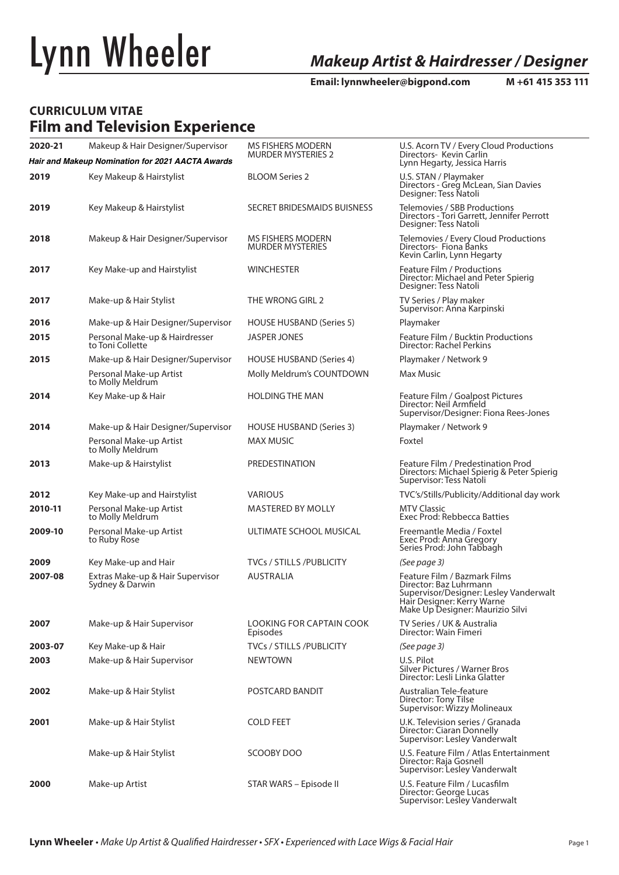**Email: lynnwheeler@bigpond.com** 

## **Film and Television Experience CURRICULUM VITAE**

| 2020-21                                                                          | Makeup & Hair Designer/Supervisor                   | <b>MS FISHERS MODERN</b><br><b>MURDER MYSTERIES 2</b> | U.S. Acorn TV / Every Cloud Productions<br>Directors- Kevin Carlin                                                                                                 |
|----------------------------------------------------------------------------------|-----------------------------------------------------|-------------------------------------------------------|--------------------------------------------------------------------------------------------------------------------------------------------------------------------|
| Hair and Makeup Nomination for 2021 AACTA Awards<br>Lynn Hegarty, Jessica Harris |                                                     |                                                       |                                                                                                                                                                    |
| 2019                                                                             | Key Makeup & Hairstylist                            | <b>BLOOM Series 2</b>                                 | U.S. STAN / Playmaker<br>Directors - Greg McLean, Sian Davies<br>Designer: Tess Natoli                                                                             |
| 2019                                                                             | Key Makeup & Hairstylist                            | SECRET BRIDESMAIDS BUISNESS                           | Telemovies / SBB Productions<br>Directors - Tori Garrett, Jennifer Perrott<br>Designer: Tess Natoli                                                                |
| 2018                                                                             | Makeup & Hair Designer/Supervisor                   | <b>MS FISHERS MODERN</b><br><b>MURDER MYSTERIES</b>   | Telemovies / Every Cloud Productions<br>Directors- Fiona Banks<br>Kevin Carlin, Lynn Hegarty                                                                       |
| 2017                                                                             | Key Make-up and Hairstylist                         | <b>WINCHESTER</b>                                     | Feature Film / Productions<br>Director: Michael and Peter Spierig<br>Designer: Tess Natoli                                                                         |
| 2017                                                                             | Make-up & Hair Stylist                              | THE WRONG GIRL 2                                      | TV Series / Play maker<br>Supervisor: Anna Karpinski                                                                                                               |
| 2016                                                                             | Make-up & Hair Designer/Supervisor                  | <b>HOUSE HUSBAND (Series 5)</b>                       | Playmaker                                                                                                                                                          |
| 2015                                                                             | Personal Make-up & Hairdresser<br>to Toni Collette  | JASPER JONES                                          | Feature Film / Bucktin Productions<br>Director: Rachel Perkins                                                                                                     |
| 2015                                                                             | Make-up & Hair Designer/Supervisor                  | HOUSE HUSBAND (Series 4)                              | Playmaker / Network 9                                                                                                                                              |
|                                                                                  | Personal Make-up Artist<br>to Molly Meldrum         | Molly Meldrum's COUNTDOWN                             | Max Music                                                                                                                                                          |
| 2014                                                                             | Key Make-up & Hair                                  | <b>HOLDING THE MAN</b>                                | Feature Film / Goalpost Pictures<br>Director: Neil Armfield<br>Supervisor/Designer: Fiona Rees-Jones                                                               |
| 2014                                                                             | Make-up & Hair Designer/Supervisor                  | HOUSE HUSBAND (Series 3)                              | Playmaker / Network 9                                                                                                                                              |
|                                                                                  | Personal Make-up Artist<br>to Molly Meldrum         | <b>MAX MUSIC</b>                                      | Foxtel                                                                                                                                                             |
| 2013                                                                             | Make-up & Hairstylist                               | PREDESTINATION                                        | Feature Film / Predestination Prod<br>Directors: Michael Spierig & Peter Spierig<br>Supervisor: Tess Natoli                                                        |
| 2012                                                                             | Key Make-up and Hairstylist                         | <b>VARIOUS</b>                                        | TVC's/Stills/Publicity/Additional day work                                                                                                                         |
| 2010-11                                                                          | Personal Make-up Artist<br>to Molly Meldrum         | <b>MASTERED BY MOLLY</b>                              | <b>MTV Classic</b><br>Exec Prod: Rebbecca Batties                                                                                                                  |
| 2009-10                                                                          | Personal Make-up Artist<br>to Ruby Rose             | ULTIMATE SCHOOL MUSICAL                               | Freemantle Media / Foxtel<br>Exec Prod: Anna Gregory<br>Series Prod: John Tabbagh                                                                                  |
| 2009                                                                             | Key Make-up and Hair                                | <b>TVCs / STILLS /PUBLICITY</b>                       | (See page 3)                                                                                                                                                       |
| 2007-08                                                                          | Extras Make-up & Hair Supervisor<br>Sydney & Darwin | <b>AUSTRALIA</b>                                      | Feature Film / Bazmark Films<br>Director: Baz Luhrmann<br>Supervisor/Designer: Lesley Vanderwalt<br>Hair Designer: Kerry Warne<br>Make Up Designer: Maurizio Silvi |
| 2007                                                                             | Make-up & Hair Supervisor                           | LOOKING FOR CAPTAIN COOK<br>Episodes                  | TV Series / UK & Australia<br>Director: Wain Fimeri                                                                                                                |
| 2003-07                                                                          | Key Make-up & Hair                                  | <b>TVCs / STILLS /PUBLICITY</b>                       | (See page 3)                                                                                                                                                       |
| 2003                                                                             | Make-up & Hair Supervisor                           | <b>NEWTOWN</b>                                        | U.S. Pilot<br><b>Silver Pictures / Warner Bros</b><br>Director: Lesli Linka Glatter                                                                                |
| 2002                                                                             | Make-up & Hair Stylist                              | POSTCARD BANDIT                                       | Australian Tele-feature<br>Director: Tony Tilse<br>Supervisor: Wizzy Molineaux                                                                                     |
| 2001                                                                             | Make-up & Hair Stylist                              | <b>COLD FEET</b>                                      | U.K. Television series / Granada<br>Director: Ciaran Donnelly<br>Supervisor: Lesley Vanderwalt                                                                     |
|                                                                                  | Make-up & Hair Stylist                              | SCOOBY DOO                                            | U.S. Feature Film / Atlas Entertainment<br>Director: Raja Gosnell<br>Supervisor: Lesley Vanderwalt                                                                 |
| 2000                                                                             | Make-up Artist                                      | STAR WARS - Episode II                                | U.S. Feature Film / Lucasfilm<br>Director: George Lucas<br>Supervisor: Lesley Vanderwalt                                                                           |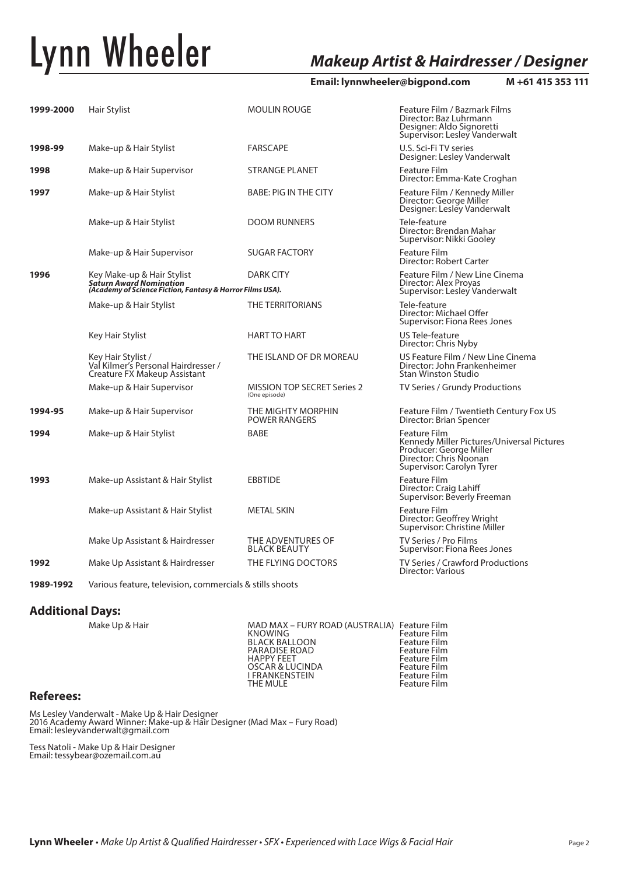#### **Email: lynnwheeler@bigpond.com M +61 415 353 111**

| 1999-2000 | Hair Stylist                                                                                                                           | <b>MOULIN ROUGE</b>                                 | Feature Film / Bazmark Films<br>Director: Baz Luhrmann<br>Designer: Aldo Signoretti<br>Supervisor: Lesley Vanderwalt                                |
|-----------|----------------------------------------------------------------------------------------------------------------------------------------|-----------------------------------------------------|-----------------------------------------------------------------------------------------------------------------------------------------------------|
| 1998-99   | Make-up & Hair Stylist                                                                                                                 | <b>FARSCAPE</b>                                     | U.S. Sci-Fi TV series<br>Designer: Lesley Vanderwalt                                                                                                |
| 1998      | Make-up & Hair Supervisor                                                                                                              | <b>STRANGE PLANET</b>                               | <b>Feature Film</b><br>Director: Emma-Kate Croghan                                                                                                  |
| 1997      | Make-up & Hair Stylist                                                                                                                 | <b>BABE: PIG IN THE CITY</b>                        | Feature Film / Kennedy Miller<br>Director: George Miller<br>Designer: Lesley Vanderwalt                                                             |
|           | Make-up & Hair Stylist                                                                                                                 | <b>DOOM RUNNERS</b>                                 | Tele-feature<br>Director: Brendan Mahar<br>Supervisor: Nikki Gooley                                                                                 |
|           | Make-up & Hair Supervisor                                                                                                              | <b>SUGAR FACTORY</b>                                | Feature Film<br>Director: Robert Carter                                                                                                             |
| 1996      | Key Make-up & Hair Stylist<br><b>DARK CITY</b><br>Saturn Award Nomination<br>(Academy of Science Fiction, Fantasy & Horror Films USA). |                                                     | Feature Film / New Line Cinema<br>Director: Alex Proyas<br>Supervisor: Lesley Vanderwalt                                                            |
|           | Make-up & Hair Stylist                                                                                                                 | THE TERRITORIANS                                    | Tele-feature<br>Director: Michael Offer<br>Supervisor: Fiona Rees Jones                                                                             |
|           | <b>Key Hair Stylist</b>                                                                                                                | <b>HART TO HART</b>                                 | US Tele-feature<br>Director: Chris Nyby                                                                                                             |
|           | Key Hair Stylist /<br>Val Kilmer's Personal Hairdresser /<br>Creature FX Makeup Assistant                                              | THE ISLAND OF DR MOREAU                             | US Feature Film / New Line Cinema<br>Director: John Frankenheimer<br><b>Stan Winston Studio</b>                                                     |
|           | Make-up & Hair Supervisor                                                                                                              | <b>MISSION TOP SECRET Series 2</b><br>(One episode) | TV Series / Grundy Productions                                                                                                                      |
| 1994-95   | Make-up & Hair Supervisor                                                                                                              | THE MIGHTY MORPHIN<br><b>POWER RANGERS</b>          | Feature Film / Twentieth Century Fox US<br>Director: Brian Spencer                                                                                  |
| 1994      | Make-up & Hair Stylist                                                                                                                 | <b>BABE</b>                                         | <b>Feature Film</b><br>Kennedy Miller Pictures/Universal Pictures<br>Producer: George Miller<br>Director: Chris Noonan<br>Supervisor: Carolyn Tyrer |
| 1993      | Make-up Assistant & Hair Stylist                                                                                                       | <b>EBBTIDE</b>                                      | <b>Feature Film</b><br>Director: Craig Lahiff<br>Supervisor: Beverly Freeman                                                                        |
|           | Make-up Assistant & Hair Stylist                                                                                                       | <b>METAL SKIN</b>                                   | <b>Feature Film</b><br>Director: Geoffrey Wright<br>Supervisor: Christine Miller                                                                    |
|           | Make Up Assistant & Hairdresser                                                                                                        | THE ADVENTURES OF<br><b>BLACK BEAUTY</b>            | TV Series / Pro Films<br>Supervisor: Fiona Rees Jones                                                                                               |
| 1992      | Make Up Assistant & Hairdresser                                                                                                        | THE FLYING DOCTORS                                  | TV Series / Crawford Productions<br>Director: Various                                                                                               |
| 1989-1992 | Various feature, television, commercials & stills shoots                                                                               |                                                     |                                                                                                                                                     |

### **Additional Days:**

| Make Up & Hair | MAD MAX - FURY ROAD (AUSTRALIA) Feature Film |              |
|----------------|----------------------------------------------|--------------|
|                | KNOWING                                      | Feature Film |
|                | <b>BLACK BALLOON</b>                         | Feature Film |
|                | PARADISE ROAD                                | Feature Film |
|                | <b>HAPPY FFFT</b>                            | Feature Film |
|                | OSCAR & LUCINDA                              | Feature Film |
|                | I FRANKENSTEIN                               | Feature Film |
|                | THE MULE                                     | Feature Film |

#### **Referees:**

Ms Lesley Vanderwalt - Make Up & Hair Designer 2016 Academy Award Winner: Make-up & Hair Designer (Mad Max – Fury Road) Email: lesleyvanderwalt@gmail.com

Tess Natoli - Make Up & Hair Designer Email: tessybear@ozemail.com.au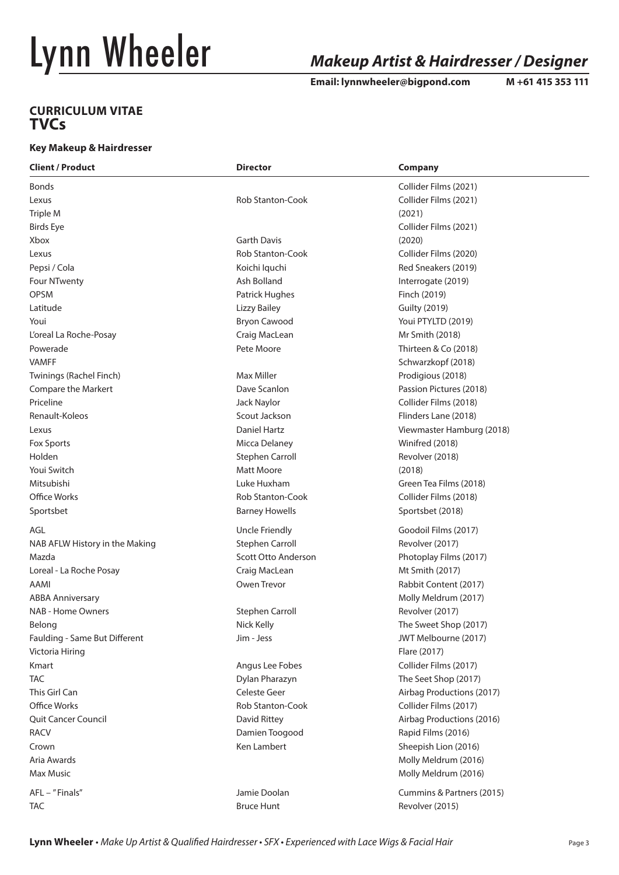**Email: lynnwheeler@bigpond.com** 

### **CURRICULUM VITAE TVCs**

#### **Key Makeup & Hairdresser**

| <b>Client / Product</b>        | <b>Director</b>         | <b>Company</b>            |
|--------------------------------|-------------------------|---------------------------|
| <b>Bonds</b>                   |                         | Collider Films (2021)     |
| Lexus                          | Rob Stanton-Cook        | Collider Films (2021)     |
| Triple M                       |                         | (2021)                    |
| <b>Birds Eye</b>               |                         | Collider Films (2021)     |
| Xbox                           | <b>Garth Davis</b>      | (2020)                    |
| Lexus                          | <b>Rob Stanton-Cook</b> | Collider Films (2020)     |
| Pepsi / Cola                   | Koichi Iquchi           | Red Sneakers (2019)       |
| Four NTwenty                   | Ash Bolland             | Interrogate (2019)        |
| OPSM                           | Patrick Hughes          | Finch (2019)              |
| Latitude                       | <b>Lizzy Bailey</b>     | <b>Guilty (2019)</b>      |
| Youi                           | <b>Bryon Cawood</b>     | Youi PTYLTD (2019)        |
| L'oreal La Roche-Posay         | Craig MacLean           | Mr Smith (2018)           |
| Powerade                       | Pete Moore              | Thirteen & Co (2018)      |
| <b>VAMFF</b>                   |                         | Schwarzkopf (2018)        |
| Twinings (Rachel Finch)        | Max Miller              | Prodigious (2018)         |
| <b>Compare the Markert</b>     | Dave Scanlon            | Passion Pictures (2018)   |
| Priceline                      | Jack Naylor             | Collider Films (2018)     |
| Renault-Koleos                 | Scout Jackson           | Flinders Lane (2018)      |
| Lexus                          | <b>Daniel Hartz</b>     | Viewmaster Hamburg (2018) |
| Fox Sports                     | Micca Delaney           | Winifred (2018)           |
| Holden                         | <b>Stephen Carroll</b>  | Revolver (2018)           |
| Youi Switch                    | Matt Moore              | (2018)                    |
| Mitsubishi                     | Luke Huxham             | Green Tea Films (2018)    |
| Office Works                   | Rob Stanton-Cook        | Collider Films (2018)     |
| Sportsbet                      | <b>Barney Howells</b>   | Sportsbet (2018)          |
| AGL                            | Uncle Friendly          | Goodoil Films (2017)      |
| NAB AFLW History in the Making | <b>Stephen Carroll</b>  | Revolver (2017)           |
| Mazda                          | Scott Otto Anderson     | Photoplay Films (2017)    |
| Loreal - La Roche Posay        | Craig MacLean           | Mt Smith (2017)           |
| AAMI                           | Owen Trevor             | Rabbit Content (2017)     |
| <b>ABBA Anniversary</b>        |                         | Molly Meldrum (2017)      |
| NAB - Home Owners              | <b>Stephen Carroll</b>  | Revolver (2017)           |
| Belong                         | Nick Kelly              | The Sweet Shop (2017)     |
| Faulding - Same But Different  | Jim - Jess              | JWT Melbourne (2017)      |
| Victoria Hiring                |                         | Flare (2017)              |
| Kmart                          | Angus Lee Fobes         | Collider Films (2017)     |
| <b>TAC</b>                     | Dylan Pharazyn          | The Seet Shop (2017)      |
| This Girl Can                  | Celeste Geer            | Airbag Productions (2017) |
| Office Works                   | Rob Stanton-Cook        | Collider Films (2017)     |
| <b>Quit Cancer Council</b>     | David Rittey            | Airbag Productions (2016) |
| <b>RACV</b>                    | Damien Toogood          | Rapid Films (2016)        |
| Crown                          | Ken Lambert             | Sheepish Lion (2016)      |
| Aria Awards                    |                         | Molly Meldrum (2016)      |
| <b>Max Music</b>               |                         | Molly Meldrum (2016)      |
| AFL - "Finals"                 | Jamie Doolan            | Cummins & Partners (2015) |
| <b>TAC</b>                     | <b>Bruce Hunt</b>       | Revolver (2015)           |